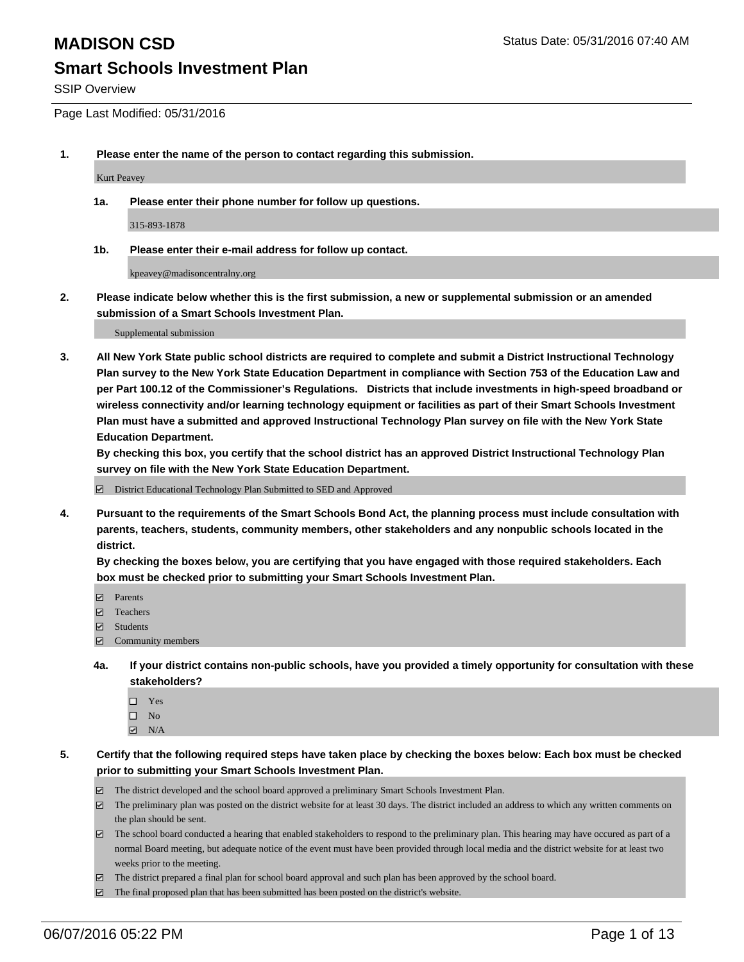SSIP Overview

Page Last Modified: 05/31/2016

**1. Please enter the name of the person to contact regarding this submission.**

Kurt Peavey

**1a. Please enter their phone number for follow up questions.**

315-893-1878

**1b. Please enter their e-mail address for follow up contact.**

kpeavey@madisoncentralny.org

**2. Please indicate below whether this is the first submission, a new or supplemental submission or an amended submission of a Smart Schools Investment Plan.**

Supplemental submission

**3. All New York State public school districts are required to complete and submit a District Instructional Technology Plan survey to the New York State Education Department in compliance with Section 753 of the Education Law and per Part 100.12 of the Commissioner's Regulations. Districts that include investments in high-speed broadband or wireless connectivity and/or learning technology equipment or facilities as part of their Smart Schools Investment Plan must have a submitted and approved Instructional Technology Plan survey on file with the New York State Education Department.** 

**By checking this box, you certify that the school district has an approved District Instructional Technology Plan survey on file with the New York State Education Department.**

District Educational Technology Plan Submitted to SED and Approved

**4. Pursuant to the requirements of the Smart Schools Bond Act, the planning process must include consultation with parents, teachers, students, community members, other stakeholders and any nonpublic schools located in the district.** 

**By checking the boxes below, you are certifying that you have engaged with those required stakeholders. Each box must be checked prior to submitting your Smart Schools Investment Plan.**

- **Parents**
- Teachers
- $\blacksquare$  Students
- Community members
- **4a. If your district contains non-public schools, have you provided a timely opportunity for consultation with these stakeholders?**
	- $\Box$  Yes  $\square$  No
	- $\boxtimes$  N/A
- **5. Certify that the following required steps have taken place by checking the boxes below: Each box must be checked prior to submitting your Smart Schools Investment Plan.**
	- The district developed and the school board approved a preliminary Smart Schools Investment Plan.
	- $\Box$  The preliminary plan was posted on the district website for at least 30 days. The district included an address to which any written comments on the plan should be sent.
	- $\Box$  The school board conducted a hearing that enabled stakeholders to respond to the preliminary plan. This hearing may have occured as part of a normal Board meeting, but adequate notice of the event must have been provided through local media and the district website for at least two weeks prior to the meeting.
	- The district prepared a final plan for school board approval and such plan has been approved by the school board.
	- $\boxdot$  The final proposed plan that has been submitted has been posted on the district's website.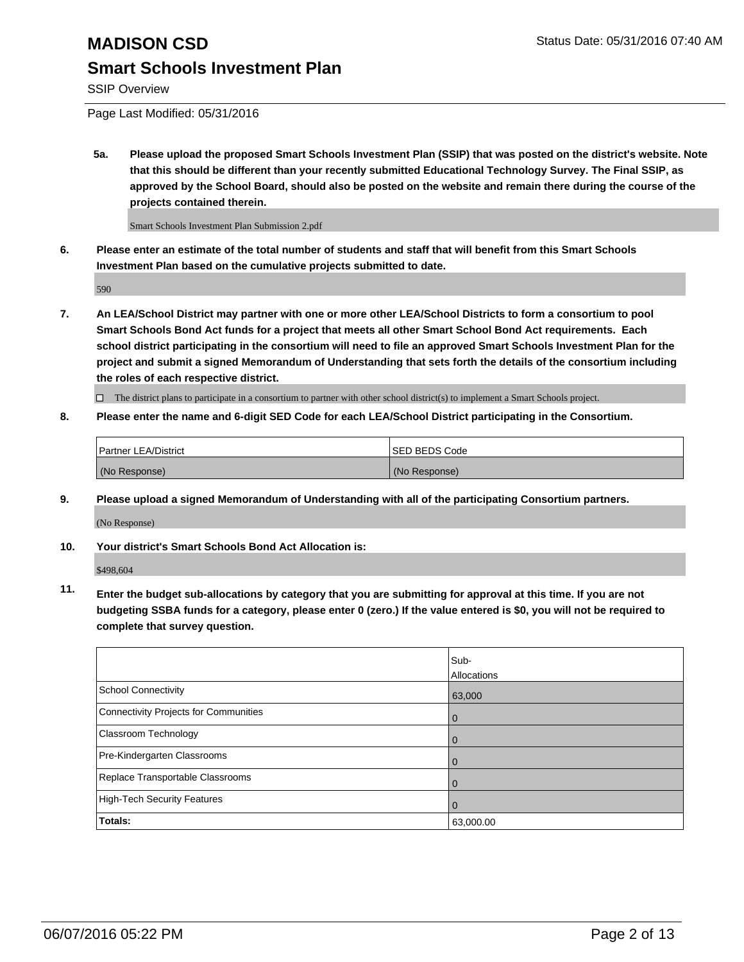SSIP Overview

Page Last Modified: 05/31/2016

**5a. Please upload the proposed Smart Schools Investment Plan (SSIP) that was posted on the district's website. Note that this should be different than your recently submitted Educational Technology Survey. The Final SSIP, as approved by the School Board, should also be posted on the website and remain there during the course of the projects contained therein.**

Smart Schools Investment Plan Submission 2.pdf

**6. Please enter an estimate of the total number of students and staff that will benefit from this Smart Schools Investment Plan based on the cumulative projects submitted to date.**

590

**7. An LEA/School District may partner with one or more other LEA/School Districts to form a consortium to pool Smart Schools Bond Act funds for a project that meets all other Smart School Bond Act requirements. Each school district participating in the consortium will need to file an approved Smart Schools Investment Plan for the project and submit a signed Memorandum of Understanding that sets forth the details of the consortium including the roles of each respective district.**

 $\Box$  The district plans to participate in a consortium to partner with other school district(s) to implement a Smart Schools project.

**8. Please enter the name and 6-digit SED Code for each LEA/School District participating in the Consortium.**

| <b>Partner LEA/District</b> | ISED BEDS Code |
|-----------------------------|----------------|
| (No Response)               | (No Response)  |

**9. Please upload a signed Memorandum of Understanding with all of the participating Consortium partners.**

(No Response)

**10. Your district's Smart Schools Bond Act Allocation is:**

\$498,604

**11. Enter the budget sub-allocations by category that you are submitting for approval at this time. If you are not budgeting SSBA funds for a category, please enter 0 (zero.) If the value entered is \$0, you will not be required to complete that survey question.**

|                                       | Sub-        |
|---------------------------------------|-------------|
|                                       | Allocations |
| <b>School Connectivity</b>            | 63,000      |
| Connectivity Projects for Communities | $\Omega$    |
| Classroom Technology                  | 0           |
| Pre-Kindergarten Classrooms           | $\Omega$    |
| Replace Transportable Classrooms      | $\Omega$    |
| High-Tech Security Features           | $\Omega$    |
| Totals:                               | 63,000.00   |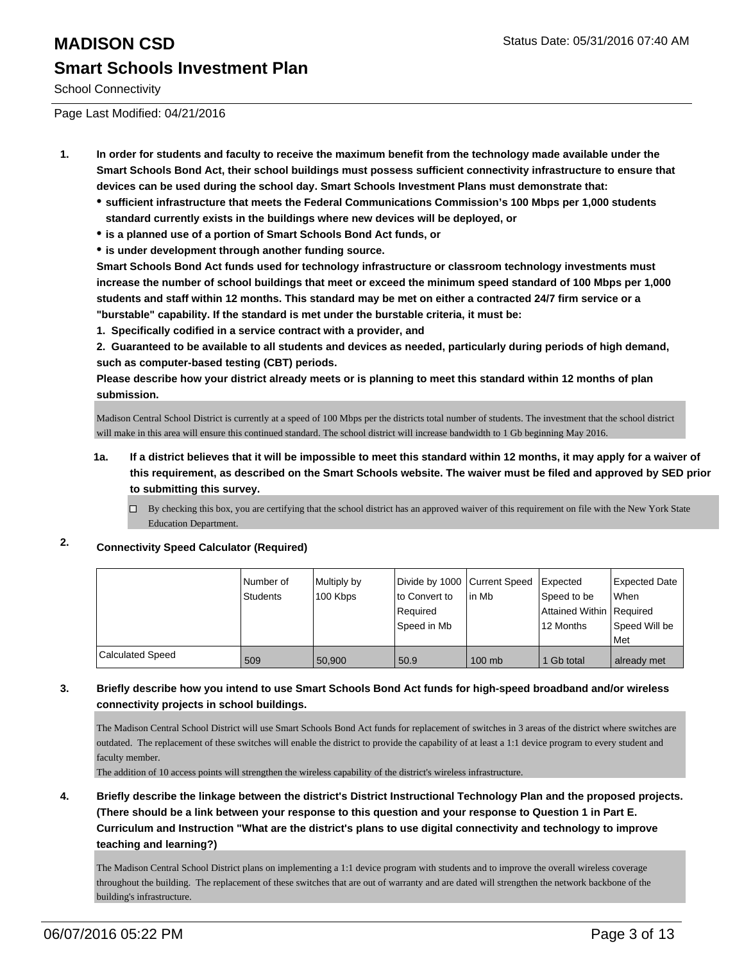School Connectivity

Page Last Modified: 04/21/2016

- **1. In order for students and faculty to receive the maximum benefit from the technology made available under the Smart Schools Bond Act, their school buildings must possess sufficient connectivity infrastructure to ensure that devices can be used during the school day. Smart Schools Investment Plans must demonstrate that:**
	- **sufficient infrastructure that meets the Federal Communications Commission's 100 Mbps per 1,000 students standard currently exists in the buildings where new devices will be deployed, or**
	- **is a planned use of a portion of Smart Schools Bond Act funds, or**
	- **is under development through another funding source.**

**Smart Schools Bond Act funds used for technology infrastructure or classroom technology investments must increase the number of school buildings that meet or exceed the minimum speed standard of 100 Mbps per 1,000 students and staff within 12 months. This standard may be met on either a contracted 24/7 firm service or a "burstable" capability. If the standard is met under the burstable criteria, it must be:**

**1. Specifically codified in a service contract with a provider, and**

**2. Guaranteed to be available to all students and devices as needed, particularly during periods of high demand, such as computer-based testing (CBT) periods.**

**Please describe how your district already meets or is planning to meet this standard within 12 months of plan submission.**

Madison Central School District is currently at a speed of 100 Mbps per the districts total number of students. The investment that the school district will make in this area will ensure this continued standard. The school district will increase bandwidth to 1 Gb beginning May 2016.

- **1a. If a district believes that it will be impossible to meet this standard within 12 months, it may apply for a waiver of this requirement, as described on the Smart Schools website. The waiver must be filed and approved by SED prior to submitting this survey.**
	- $\Box$  By checking this box, you are certifying that the school district has an approved waiver of this requirement on file with the New York State Education Department.

#### **2. Connectivity Speed Calculator (Required)**

|                         | l Number of<br>Students | Multiply by<br>100 Kbps | Divide by 1000 Current Speed<br>lto Convert to<br>Reauired<br>Speed in Mb | lin Mb   | Expected<br>Speed to be<br>Attained Within   Required<br>12 Months | <b>Expected Date</b><br>When<br>Speed Will be<br>Met |
|-------------------------|-------------------------|-------------------------|---------------------------------------------------------------------------|----------|--------------------------------------------------------------------|------------------------------------------------------|
|                         |                         |                         |                                                                           |          |                                                                    |                                                      |
| <b>Calculated Speed</b> | 509                     | 50.900                  | 50.9                                                                      | $100$ mb | 1 Gb total                                                         | already met                                          |

#### **3. Briefly describe how you intend to use Smart Schools Bond Act funds for high-speed broadband and/or wireless connectivity projects in school buildings.**

The Madison Central School District will use Smart Schools Bond Act funds for replacement of switches in 3 areas of the district where switches are outdated. The replacement of these switches will enable the district to provide the capability of at least a 1:1 device program to every student and faculty member.

The addition of 10 access points will strengthen the wireless capability of the district's wireless infrastructure.

**4. Briefly describe the linkage between the district's District Instructional Technology Plan and the proposed projects. (There should be a link between your response to this question and your response to Question 1 in Part E. Curriculum and Instruction "What are the district's plans to use digital connectivity and technology to improve teaching and learning?)**

The Madison Central School District plans on implementing a 1:1 device program with students and to improve the overall wireless coverage throughout the building. The replacement of these switches that are out of warranty and are dated will strengthen the network backbone of the building's infrastructure.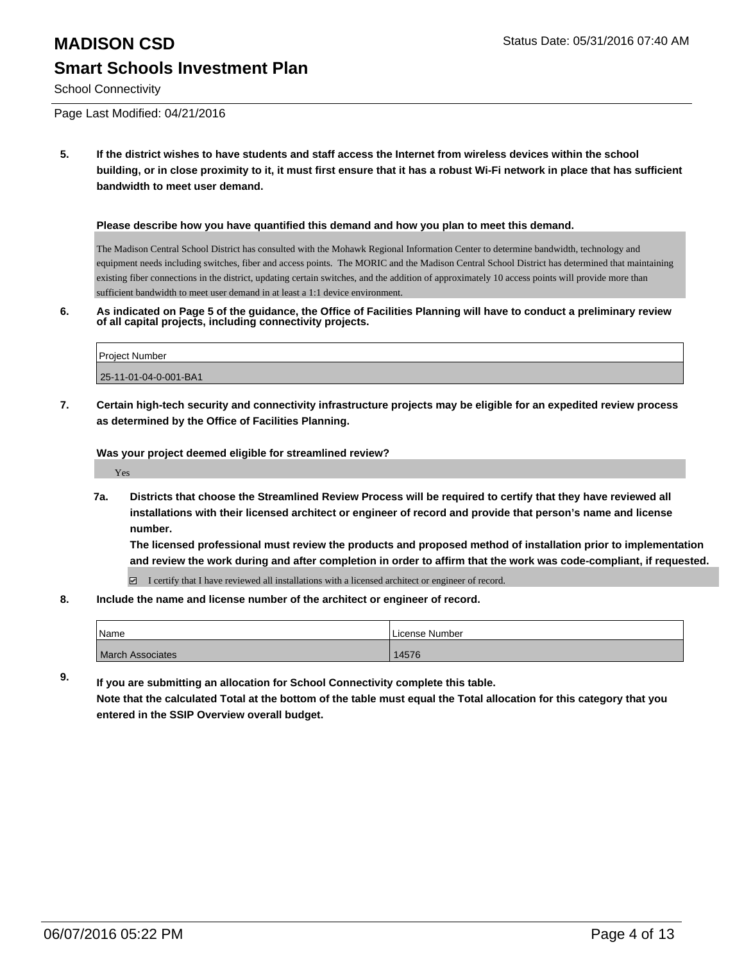School Connectivity

Page Last Modified: 04/21/2016

**5. If the district wishes to have students and staff access the Internet from wireless devices within the school building, or in close proximity to it, it must first ensure that it has a robust Wi-Fi network in place that has sufficient bandwidth to meet user demand.**

#### **Please describe how you have quantified this demand and how you plan to meet this demand.**

The Madison Central School District has consulted with the Mohawk Regional Information Center to determine bandwidth, technology and equipment needs including switches, fiber and access points. The MORIC and the Madison Central School District has determined that maintaining existing fiber connections in the district, updating certain switches, and the addition of approximately 10 access points will provide more than sufficient bandwidth to meet user demand in at least a 1:1 device environment.

**6. As indicated on Page 5 of the guidance, the Office of Facilities Planning will have to conduct a preliminary review of all capital projects, including connectivity projects.**

| Project Number        |  |
|-----------------------|--|
| 25-11-01-04-0-001-BA1 |  |

**7. Certain high-tech security and connectivity infrastructure projects may be eligible for an expedited review process as determined by the Office of Facilities Planning.**

**Was your project deemed eligible for streamlined review?**

Yes

**7a. Districts that choose the Streamlined Review Process will be required to certify that they have reviewed all installations with their licensed architect or engineer of record and provide that person's name and license number.**

**The licensed professional must review the products and proposed method of installation prior to implementation and review the work during and after completion in order to affirm that the work was code-compliant, if requested.**

 $\Box$  I certify that I have reviewed all installations with a licensed architect or engineer of record.

**8. Include the name and license number of the architect or engineer of record.**

| Name                    | License Number |
|-------------------------|----------------|
| <b>March Associates</b> | 14576          |

**9. If you are submitting an allocation for School Connectivity complete this table.**

**Note that the calculated Total at the bottom of the table must equal the Total allocation for this category that you entered in the SSIP Overview overall budget.**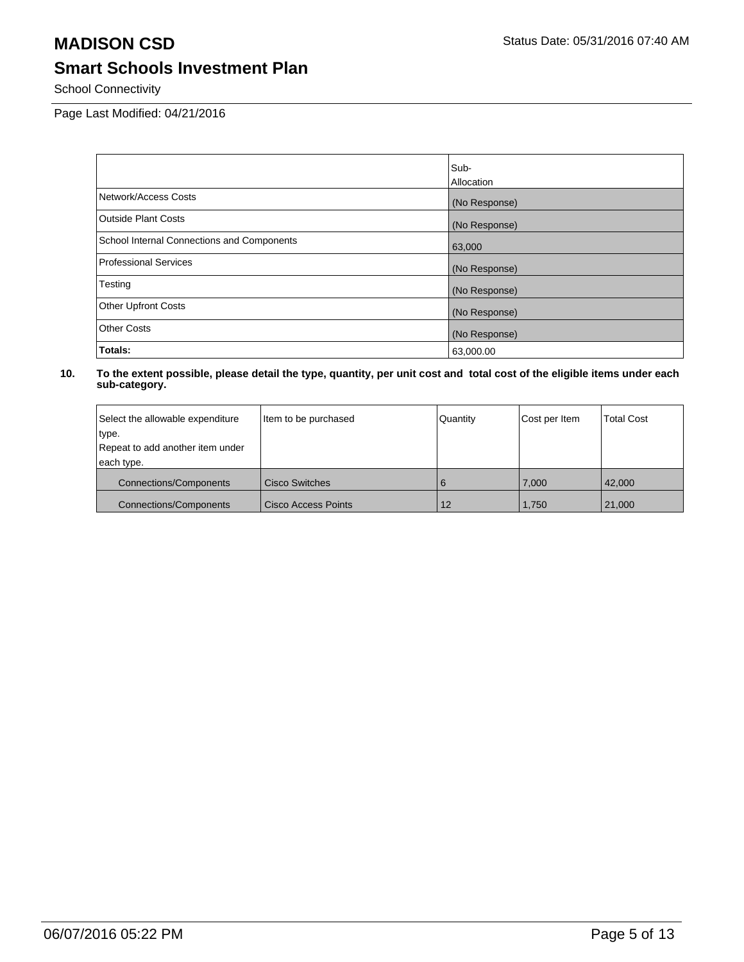School Connectivity

Page Last Modified: 04/21/2016

|                                            | Sub-              |
|--------------------------------------------|-------------------|
|                                            | <b>Allocation</b> |
| Network/Access Costs                       | (No Response)     |
| <b>Outside Plant Costs</b>                 | (No Response)     |
| School Internal Connections and Components | 63,000            |
| <b>Professional Services</b>               | (No Response)     |
| Testing                                    | (No Response)     |
| <b>Other Upfront Costs</b>                 | (No Response)     |
| <b>Other Costs</b>                         | (No Response)     |
| Totals:                                    | 63,000.00         |

| Select the allowable expenditure | Item to be purchased       | Quantity | Cost per Item | <b>Total Cost</b> |
|----------------------------------|----------------------------|----------|---------------|-------------------|
| type.                            |                            |          |               |                   |
| Repeat to add another item under |                            |          |               |                   |
| each type.                       |                            |          |               |                   |
| <b>Connections/Components</b>    | <b>Cisco Switches</b>      | 6        | 7.000         | 42.000            |
| <b>Connections/Components</b>    | <b>Cisco Access Points</b> | 12       | 1.750         | 21,000            |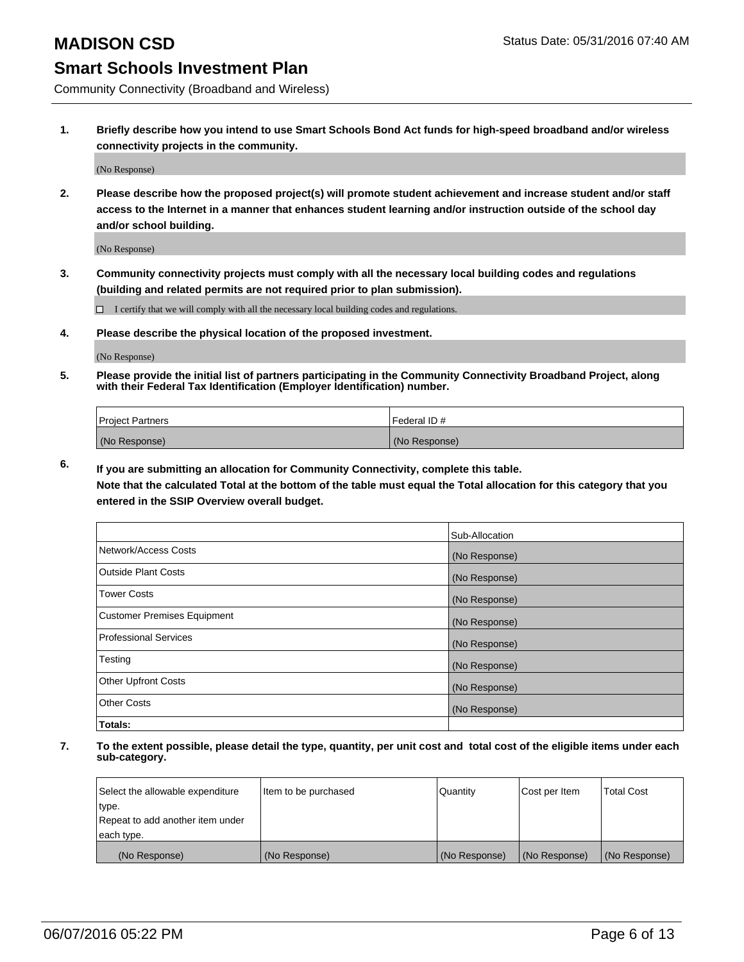Community Connectivity (Broadband and Wireless)

**1. Briefly describe how you intend to use Smart Schools Bond Act funds for high-speed broadband and/or wireless connectivity projects in the community.**

(No Response)

**2. Please describe how the proposed project(s) will promote student achievement and increase student and/or staff access to the Internet in a manner that enhances student learning and/or instruction outside of the school day and/or school building.**

(No Response)

**3. Community connectivity projects must comply with all the necessary local building codes and regulations (building and related permits are not required prior to plan submission).**

 $\Box$  I certify that we will comply with all the necessary local building codes and regulations.

**4. Please describe the physical location of the proposed investment.**

(No Response)

**5. Please provide the initial list of partners participating in the Community Connectivity Broadband Project, along with their Federal Tax Identification (Employer Identification) number.**

| <b>Project Partners</b> | I Federal ID # |
|-------------------------|----------------|
| (No Response)           | (No Response)  |

**6. If you are submitting an allocation for Community Connectivity, complete this table.**

**Note that the calculated Total at the bottom of the table must equal the Total allocation for this category that you entered in the SSIP Overview overall budget.**

|                                    | Sub-Allocation |
|------------------------------------|----------------|
| Network/Access Costs               | (No Response)  |
| Outside Plant Costs                | (No Response)  |
| <b>Tower Costs</b>                 | (No Response)  |
| <b>Customer Premises Equipment</b> | (No Response)  |
| Professional Services              | (No Response)  |
| Testing                            | (No Response)  |
| <b>Other Upfront Costs</b>         | (No Response)  |
| Other Costs                        | (No Response)  |
| Totals:                            |                |

| Select the allowable expenditure | Item to be purchased | Quantity      | Cost per Item | <b>Total Cost</b> |
|----------------------------------|----------------------|---------------|---------------|-------------------|
| type.                            |                      |               |               |                   |
| Repeat to add another item under |                      |               |               |                   |
| each type.                       |                      |               |               |                   |
| (No Response)                    | (No Response)        | (No Response) | (No Response) | (No Response)     |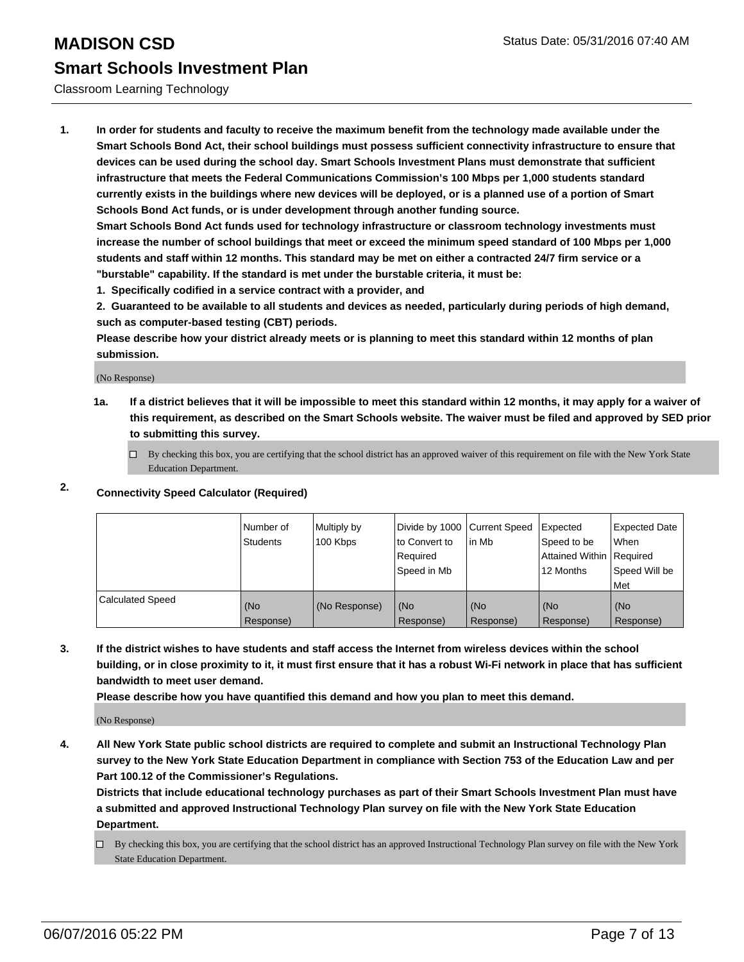#### Classroom Learning Technology

**1. In order for students and faculty to receive the maximum benefit from the technology made available under the Smart Schools Bond Act, their school buildings must possess sufficient connectivity infrastructure to ensure that devices can be used during the school day. Smart Schools Investment Plans must demonstrate that sufficient infrastructure that meets the Federal Communications Commission's 100 Mbps per 1,000 students standard currently exists in the buildings where new devices will be deployed, or is a planned use of a portion of Smart Schools Bond Act funds, or is under development through another funding source.**

**Smart Schools Bond Act funds used for technology infrastructure or classroom technology investments must increase the number of school buildings that meet or exceed the minimum speed standard of 100 Mbps per 1,000 students and staff within 12 months. This standard may be met on either a contracted 24/7 firm service or a "burstable" capability. If the standard is met under the burstable criteria, it must be:**

**1. Specifically codified in a service contract with a provider, and**

**2. Guaranteed to be available to all students and devices as needed, particularly during periods of high demand, such as computer-based testing (CBT) periods.**

**Please describe how your district already meets or is planning to meet this standard within 12 months of plan submission.**

(No Response)

**1a. If a district believes that it will be impossible to meet this standard within 12 months, it may apply for a waiver of this requirement, as described on the Smart Schools website. The waiver must be filed and approved by SED prior to submitting this survey.**

 $\Box$  By checking this box, you are certifying that the school district has an approved waiver of this requirement on file with the New York State Education Department.

### **2. Connectivity Speed Calculator (Required)**

|                         | INumber of<br><b>Students</b> | Multiply by<br>100 Kbps | Divide by 1000 Current Speed<br>Ito Convert to<br>Required<br>l Speed in Mb | lin Mb           | Expected<br>Speed to be<br>Attained Within   Required<br>12 Months | Expected Date<br><b>When</b><br>Speed Will be<br>l Met |
|-------------------------|-------------------------------|-------------------------|-----------------------------------------------------------------------------|------------------|--------------------------------------------------------------------|--------------------------------------------------------|
| <b>Calculated Speed</b> | (No<br>Response)              | (No Response)           | (No<br>Response)                                                            | (No<br>Response) | (No<br>Response)                                                   | l (No<br>Response)                                     |

**3. If the district wishes to have students and staff access the Internet from wireless devices within the school building, or in close proximity to it, it must first ensure that it has a robust Wi-Fi network in place that has sufficient bandwidth to meet user demand.**

**Please describe how you have quantified this demand and how you plan to meet this demand.**

(No Response)

**4. All New York State public school districts are required to complete and submit an Instructional Technology Plan survey to the New York State Education Department in compliance with Section 753 of the Education Law and per Part 100.12 of the Commissioner's Regulations.**

**Districts that include educational technology purchases as part of their Smart Schools Investment Plan must have a submitted and approved Instructional Technology Plan survey on file with the New York State Education Department.**

 $\Box$  By checking this box, you are certifying that the school district has an approved Instructional Technology Plan survey on file with the New York State Education Department.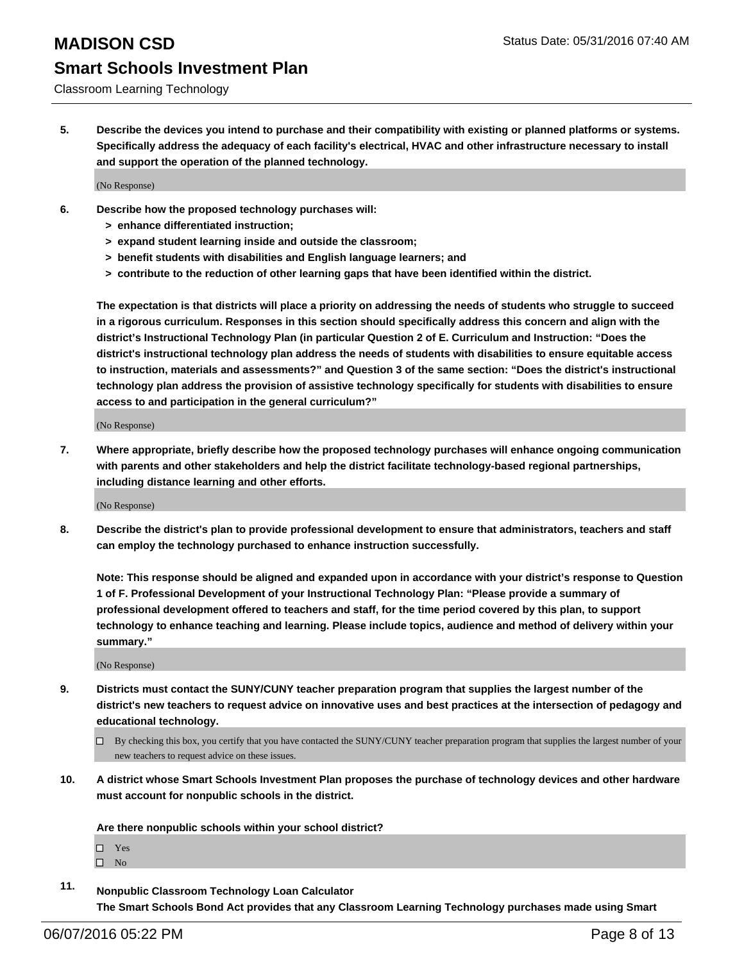Classroom Learning Technology

**5. Describe the devices you intend to purchase and their compatibility with existing or planned platforms or systems. Specifically address the adequacy of each facility's electrical, HVAC and other infrastructure necessary to install and support the operation of the planned technology.**

(No Response)

- **6. Describe how the proposed technology purchases will:**
	- **> enhance differentiated instruction;**
	- **> expand student learning inside and outside the classroom;**
	- **> benefit students with disabilities and English language learners; and**
	- **> contribute to the reduction of other learning gaps that have been identified within the district.**

**The expectation is that districts will place a priority on addressing the needs of students who struggle to succeed in a rigorous curriculum. Responses in this section should specifically address this concern and align with the district's Instructional Technology Plan (in particular Question 2 of E. Curriculum and Instruction: "Does the district's instructional technology plan address the needs of students with disabilities to ensure equitable access to instruction, materials and assessments?" and Question 3 of the same section: "Does the district's instructional technology plan address the provision of assistive technology specifically for students with disabilities to ensure access to and participation in the general curriculum?"**

(No Response)

**7. Where appropriate, briefly describe how the proposed technology purchases will enhance ongoing communication with parents and other stakeholders and help the district facilitate technology-based regional partnerships, including distance learning and other efforts.**

(No Response)

**8. Describe the district's plan to provide professional development to ensure that administrators, teachers and staff can employ the technology purchased to enhance instruction successfully.**

**Note: This response should be aligned and expanded upon in accordance with your district's response to Question 1 of F. Professional Development of your Instructional Technology Plan: "Please provide a summary of professional development offered to teachers and staff, for the time period covered by this plan, to support technology to enhance teaching and learning. Please include topics, audience and method of delivery within your summary."**

(No Response)

- **9. Districts must contact the SUNY/CUNY teacher preparation program that supplies the largest number of the district's new teachers to request advice on innovative uses and best practices at the intersection of pedagogy and educational technology.**
	- $\Box$  By checking this box, you certify that you have contacted the SUNY/CUNY teacher preparation program that supplies the largest number of your new teachers to request advice on these issues.
- **10. A district whose Smart Schools Investment Plan proposes the purchase of technology devices and other hardware must account for nonpublic schools in the district.**

**Are there nonpublic schools within your school district?**

□ Yes

 $\square$  No

**11. Nonpublic Classroom Technology Loan Calculator The Smart Schools Bond Act provides that any Classroom Learning Technology purchases made using Smart**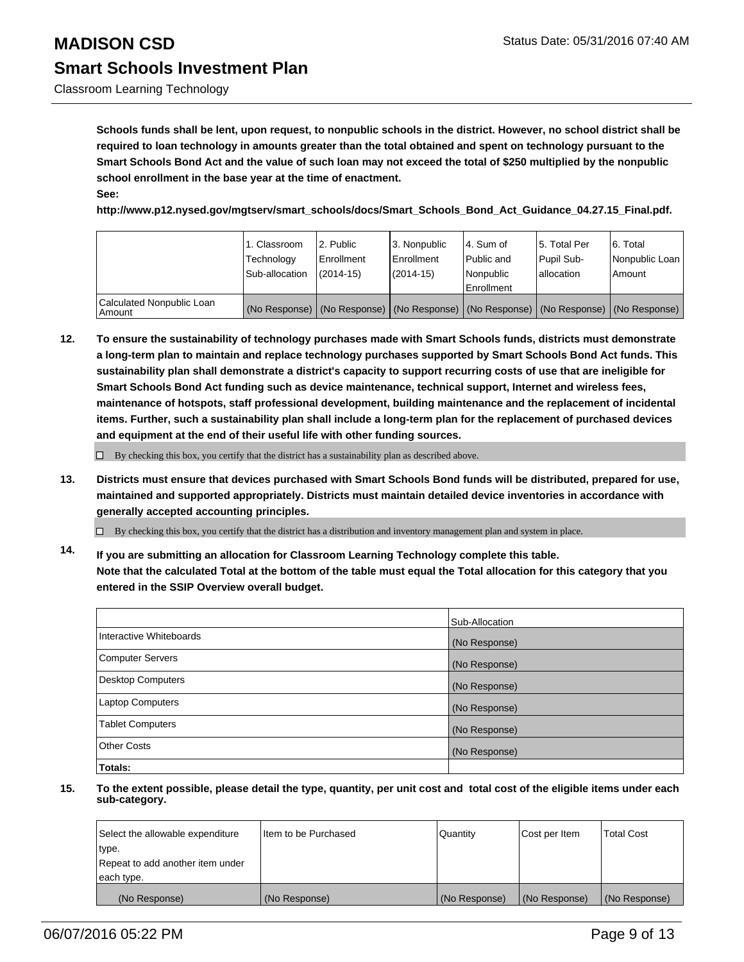Classroom Learning Technology

**Schools funds shall be lent, upon request, to nonpublic schools in the district. However, no school district shall be required to loan technology in amounts greater than the total obtained and spent on technology pursuant to the Smart Schools Bond Act and the value of such loan may not exceed the total of \$250 multiplied by the nonpublic school enrollment in the base year at the time of enactment. See:**

**http://www.p12.nysed.gov/mgtserv/smart\_schools/docs/Smart\_Schools\_Bond\_Act\_Guidance\_04.27.15\_Final.pdf.**

|                                     | 1. Classroom<br>Technology<br>Sub-allocation | 2. Public<br>Enrollment<br>$(2014 - 15)$ | 3. Nonpublic<br><b>Enrollment</b><br>$(2014 - 15)$                                            | l 4. Sum of<br>l Public and<br>Nonpublic<br>Enrollment | 5. Total Per<br>Pupil Sub-<br>lallocation | 6. Total<br>Nonpublic Loan  <br>Amount |
|-------------------------------------|----------------------------------------------|------------------------------------------|-----------------------------------------------------------------------------------------------|--------------------------------------------------------|-------------------------------------------|----------------------------------------|
| Calculated Nonpublic Loan<br>Amount |                                              |                                          | (No Response)   (No Response)   (No Response)   (No Response)   (No Response)   (No Response) |                                                        |                                           |                                        |

**12. To ensure the sustainability of technology purchases made with Smart Schools funds, districts must demonstrate a long-term plan to maintain and replace technology purchases supported by Smart Schools Bond Act funds. This sustainability plan shall demonstrate a district's capacity to support recurring costs of use that are ineligible for Smart Schools Bond Act funding such as device maintenance, technical support, Internet and wireless fees, maintenance of hotspots, staff professional development, building maintenance and the replacement of incidental items. Further, such a sustainability plan shall include a long-term plan for the replacement of purchased devices and equipment at the end of their useful life with other funding sources.**

 $\Box$  By checking this box, you certify that the district has a sustainability plan as described above.

**13. Districts must ensure that devices purchased with Smart Schools Bond funds will be distributed, prepared for use, maintained and supported appropriately. Districts must maintain detailed device inventories in accordance with generally accepted accounting principles.**

 $\Box$  By checking this box, you certify that the district has a distribution and inventory management plan and system in place.

**14. If you are submitting an allocation for Classroom Learning Technology complete this table. Note that the calculated Total at the bottom of the table must equal the Total allocation for this category that you entered in the SSIP Overview overall budget.**

|                          | Sub-Allocation |
|--------------------------|----------------|
| Interactive Whiteboards  | (No Response)  |
| <b>Computer Servers</b>  | (No Response)  |
| <b>Desktop Computers</b> | (No Response)  |
| Laptop Computers         | (No Response)  |
| <b>Tablet Computers</b>  | (No Response)  |
| Other Costs              | (No Response)  |
| Totals:                  |                |

| Select the allowable expenditure | Item to be Purchased | Quantity      | Cost per Item | <b>Total Cost</b> |
|----------------------------------|----------------------|---------------|---------------|-------------------|
| type.                            |                      |               |               |                   |
| Repeat to add another item under |                      |               |               |                   |
| each type.                       |                      |               |               |                   |
| (No Response)                    | (No Response)        | (No Response) | (No Response) | (No Response)     |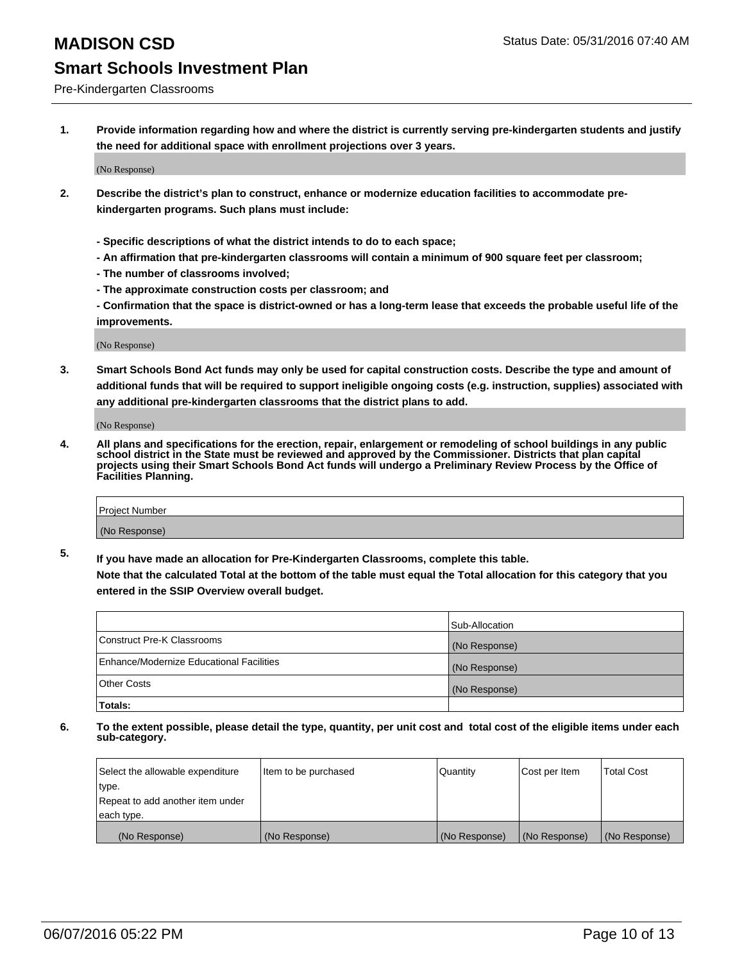#### Pre-Kindergarten Classrooms

**1. Provide information regarding how and where the district is currently serving pre-kindergarten students and justify the need for additional space with enrollment projections over 3 years.**

(No Response)

- **2. Describe the district's plan to construct, enhance or modernize education facilities to accommodate prekindergarten programs. Such plans must include:**
	- **Specific descriptions of what the district intends to do to each space;**
	- **An affirmation that pre-kindergarten classrooms will contain a minimum of 900 square feet per classroom;**
	- **The number of classrooms involved;**
	- **The approximate construction costs per classroom; and**
	- **Confirmation that the space is district-owned or has a long-term lease that exceeds the probable useful life of the improvements.**

(No Response)

**3. Smart Schools Bond Act funds may only be used for capital construction costs. Describe the type and amount of additional funds that will be required to support ineligible ongoing costs (e.g. instruction, supplies) associated with any additional pre-kindergarten classrooms that the district plans to add.**

(No Response)

**4. All plans and specifications for the erection, repair, enlargement or remodeling of school buildings in any public school district in the State must be reviewed and approved by the Commissioner. Districts that plan capital projects using their Smart Schools Bond Act funds will undergo a Preliminary Review Process by the Office of Facilities Planning.**

| Project Number |  |
|----------------|--|
| (No Response)  |  |

**5. If you have made an allocation for Pre-Kindergarten Classrooms, complete this table. Note that the calculated Total at the bottom of the table must equal the Total allocation for this category that you**

**entered in the SSIP Overview overall budget.**

|                                          | Sub-Allocation |
|------------------------------------------|----------------|
| Construct Pre-K Classrooms               | (No Response)  |
| Enhance/Modernize Educational Facilities | (No Response)  |
| Other Costs                              | (No Response)  |
| Totals:                                  |                |

| Select the allowable expenditure | Item to be purchased | Quantity      | Cost per Item | <b>Total Cost</b> |
|----------------------------------|----------------------|---------------|---------------|-------------------|
| type.                            |                      |               |               |                   |
| Repeat to add another item under |                      |               |               |                   |
| each type.                       |                      |               |               |                   |
| (No Response)                    | (No Response)        | (No Response) | (No Response) | (No Response)     |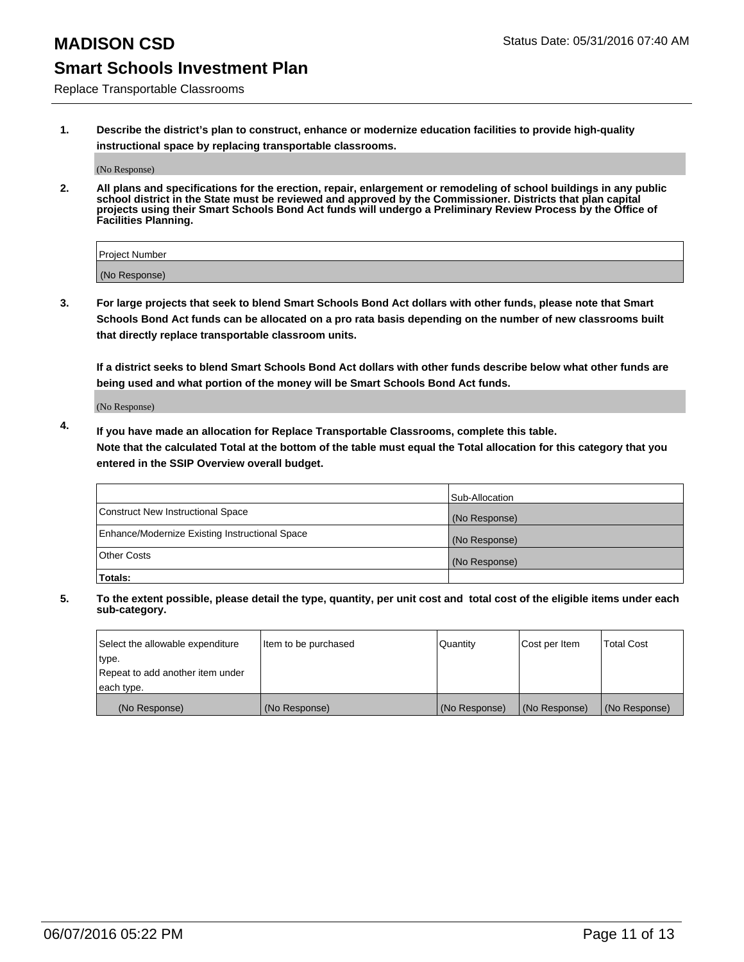Replace Transportable Classrooms

**1. Describe the district's plan to construct, enhance or modernize education facilities to provide high-quality instructional space by replacing transportable classrooms.**

(No Response)

**2. All plans and specifications for the erection, repair, enlargement or remodeling of school buildings in any public school district in the State must be reviewed and approved by the Commissioner. Districts that plan capital projects using their Smart Schools Bond Act funds will undergo a Preliminary Review Process by the Office of Facilities Planning.**

| Project Number |  |
|----------------|--|
| (No Response)  |  |

**3. For large projects that seek to blend Smart Schools Bond Act dollars with other funds, please note that Smart Schools Bond Act funds can be allocated on a pro rata basis depending on the number of new classrooms built that directly replace transportable classroom units.**

**If a district seeks to blend Smart Schools Bond Act dollars with other funds describe below what other funds are being used and what portion of the money will be Smart Schools Bond Act funds.**

(No Response)

**4. If you have made an allocation for Replace Transportable Classrooms, complete this table. Note that the calculated Total at the bottom of the table must equal the Total allocation for this category that you entered in the SSIP Overview overall budget.**

|                                                | Sub-Allocation |
|------------------------------------------------|----------------|
| Construct New Instructional Space              | (No Response)  |
| Enhance/Modernize Existing Instructional Space | (No Response)  |
| <b>Other Costs</b>                             | (No Response)  |
| Totals:                                        |                |

| Select the allowable expenditure | Item to be purchased | Quantity      | Cost per Item | <b>Total Cost</b> |
|----------------------------------|----------------------|---------------|---------------|-------------------|
| type.                            |                      |               |               |                   |
| Repeat to add another item under |                      |               |               |                   |
| each type.                       |                      |               |               |                   |
| (No Response)                    | (No Response)        | (No Response) | (No Response) | (No Response)     |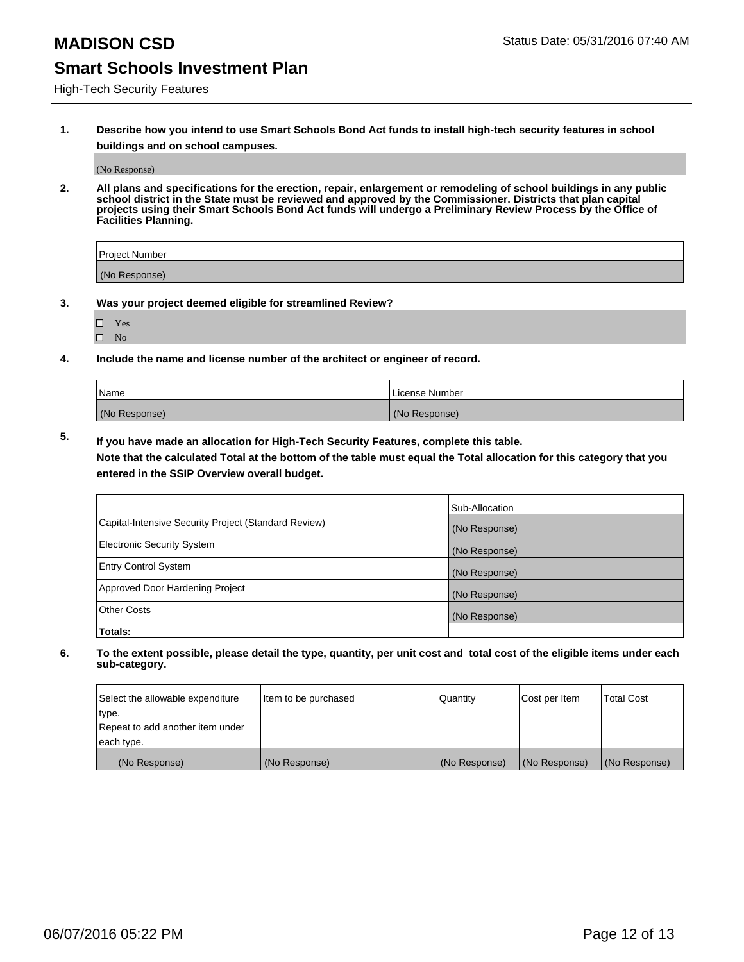High-Tech Security Features

**1. Describe how you intend to use Smart Schools Bond Act funds to install high-tech security features in school buildings and on school campuses.**

(No Response)

**2. All plans and specifications for the erection, repair, enlargement or remodeling of school buildings in any public school district in the State must be reviewed and approved by the Commissioner. Districts that plan capital projects using their Smart Schools Bond Act funds will undergo a Preliminary Review Process by the Office of Facilities Planning.** 

| Project Number |  |
|----------------|--|
| (No Response)  |  |

- **3. Was your project deemed eligible for streamlined Review?**
	- Yes
	- $\square$  No
- **4. Include the name and license number of the architect or engineer of record.**

| Name          | License Number |
|---------------|----------------|
| (No Response) | (No Response)  |

**5. If you have made an allocation for High-Tech Security Features, complete this table.**

**Note that the calculated Total at the bottom of the table must equal the Total allocation for this category that you entered in the SSIP Overview overall budget.**

|                                                      | Sub-Allocation |
|------------------------------------------------------|----------------|
| Capital-Intensive Security Project (Standard Review) | (No Response)  |
| <b>Electronic Security System</b>                    | (No Response)  |
| <b>Entry Control System</b>                          | (No Response)  |
| Approved Door Hardening Project                      | (No Response)  |
| <b>Other Costs</b>                                   | (No Response)  |
| Totals:                                              |                |

| Select the allowable expenditure | litem to be purchased | Quantity      | Cost per Item | Total Cost    |
|----------------------------------|-----------------------|---------------|---------------|---------------|
| type.                            |                       |               |               |               |
| Repeat to add another item under |                       |               |               |               |
| each type.                       |                       |               |               |               |
| (No Response)                    | (No Response)         | (No Response) | (No Response) | (No Response) |